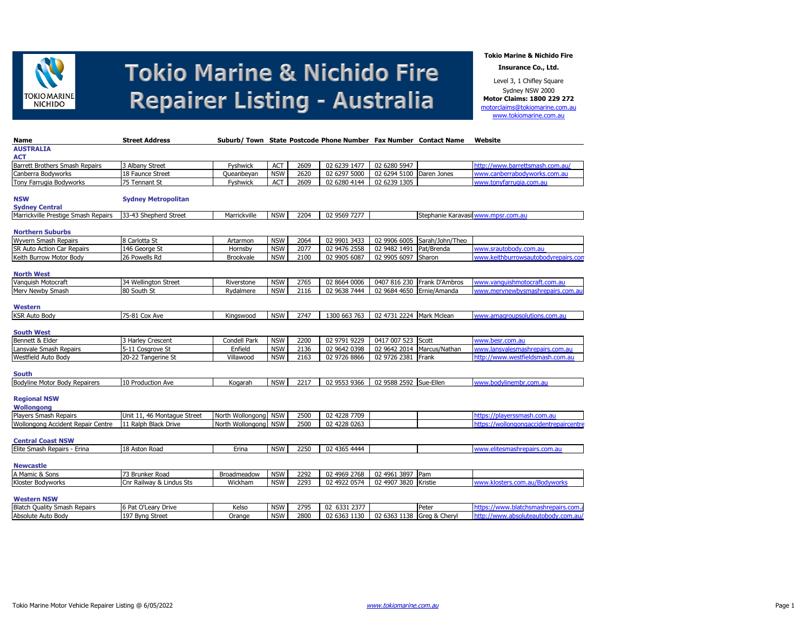

**Tokio Marine & Nichido Fire**

**Insurance Co., Ltd.**

Level 3, 1 Chifley Square Sydney NSW 2000 **Motor Claims: 1800 229 272** [motorclaims@tokiomarine.com.au](mailto:motorclaims@tokiomarine.com.au) [www.tokiomarine.com.au](http://www.tokiomarine.com.au/)

| Name                                | <b>Street Address</b>       |                      |            |      | Suburb/ Town State Postcode Phone Number Fax Number Contact Name |                            |                 | Website                                |
|-------------------------------------|-----------------------------|----------------------|------------|------|------------------------------------------------------------------|----------------------------|-----------------|----------------------------------------|
| <b>AUSTRALIA</b>                    |                             |                      |            |      |                                                                  |                            |                 |                                        |
| <b>ACT</b>                          |                             |                      |            |      |                                                                  |                            |                 |                                        |
| Barrett Brothers Smash Repairs      | 3 Albany Street             | Fyshwick             | <b>ACT</b> | 2609 | 02 6239 1477                                                     | 02 6280 5947               |                 | http://www.barrettsmash.com.au/        |
| Canberra Bodyworks                  | 18 Faunce Street            | Queanbeyan           | <b>NSW</b> | 2620 | 02 6297 5000                                                     | 02 6294 5100               | Daren Jones     | www.canberrabodyworks.com.au           |
| Tony Farrugia Bodyworks             | 75 Tennant St               | Fyshwick             | ACT        | 2609 | 02 6280 4144                                                     | 02 6239 1305               |                 | www.tonyfarrugia.com.au                |
|                                     |                             |                      |            |      |                                                                  |                            |                 |                                        |
| <b>NSW</b>                          | <b>Sydney Metropolitan</b>  |                      |            |      |                                                                  |                            |                 |                                        |
| <b>Sydney Central</b>               |                             |                      |            |      |                                                                  |                            |                 |                                        |
| Marrickville Prestige Smash Repairs | 33-43 Shepherd Street       | Marrickville         | <b>NSW</b> | 2204 | 02 9569 7277                                                     |                            |                 | Stephanie Karavasil www.mpsr.com.au    |
|                                     |                             |                      |            |      |                                                                  |                            |                 |                                        |
| <b>Northern Suburbs</b>             |                             |                      |            |      |                                                                  |                            |                 |                                        |
| Wyvern Smash Repairs                | 8 Carlotta St               | Artarmon             | <b>NSW</b> | 2064 | 02 9901 3433                                                     | 02 9906 6005               | Sarah/John/Theo |                                        |
| SR Auto Action Car Repairs          | 146 George St               | Hornsby              | <b>NSW</b> | 2077 | 02 9476 2558                                                     | 02 9482 1491               | Pat/Brenda      | www.srautobody.com.au                  |
| Keith Burrow Motor Body             | 26 Powells Rd               | <b>Brookvale</b>     | <b>NSW</b> | 2100 | 02 9905 6087                                                     | 02 9905 6097 Sharon        |                 | www.keithburrowsautobodvrepairs.com    |
|                                     |                             |                      |            |      |                                                                  |                            |                 |                                        |
| <b>North West</b>                   |                             |                      |            |      |                                                                  |                            |                 |                                        |
| Vanquish Motocraft                  | 34 Wellington Street        | Riverstone           | <b>NSW</b> | 2765 | 02 8664 0006                                                     | 0407 816 230               | Frank D'Ambros  | www.vanquishmotocraft.com.au           |
| Merv Newby Smash                    | 80 South St                 | Rydalmere            | <b>NSW</b> | 2116 | 02 9638 7444                                                     | 02 9684 4650               | Ernie/Amanda    | www.merynewbysmashrepairs.com.au       |
|                                     |                             |                      |            |      |                                                                  |                            |                 |                                        |
| <b>Western</b>                      |                             |                      |            |      |                                                                  |                            |                 |                                        |
| <b>KSR Auto Body</b>                | 75-81 Cox Ave               | Kingswood            | <b>NSW</b> | 2747 | 1300 663 763                                                     | 02 4731 2224 Mark Mclean   |                 | www.amagroupsolutions.com.au           |
|                                     |                             |                      |            |      |                                                                  |                            |                 |                                        |
| <b>South West</b>                   |                             |                      |            |      |                                                                  |                            |                 |                                        |
| Bennett & Elder                     | 3 Harley Crescent           | Condell Park         | <b>NSW</b> | 2200 | 02 9791 9229                                                     | 0417 007 523               | Scott           | www.besr.com.au                        |
| Lansvale Smash Repairs              | 5-11 Cosgrove St            | Enfield              | <b>NSW</b> | 2136 | 02 9642 0398                                                     | 02 9642 2014               | Marcus/Nathan   | www.lansvalesmashrepairs.com.au        |
| <b>Westfield Auto Body</b>          | 20-22 Tangerine St          | Villawood            | <b>NSW</b> | 2163 | 02 9726 8866                                                     | 02 9726 2381               | Frank           | http://www.westfieldsmash.com.au       |
|                                     |                             |                      |            |      |                                                                  |                            |                 |                                        |
| <b>South</b>                        |                             |                      |            |      |                                                                  |                            |                 |                                        |
| Bodyline Motor Body Repairers       | 10 Production Ave           | Kogarah              | <b>NSW</b> | 2217 | 02 9553 9366                                                     | 02 9588 2592 Sue-Ellen     |                 | www.bodylinembr.com.au                 |
|                                     |                             |                      |            |      |                                                                  |                            |                 |                                        |
| <b>Regional NSW</b>                 |                             |                      |            |      |                                                                  |                            |                 |                                        |
| Wollongong                          |                             |                      |            |      |                                                                  |                            |                 |                                        |
| Players Smash Repairs               | Unit 11, 46 Montague Street | North Wollongong NSW |            | 2500 | 02 4228 7709                                                     |                            |                 | https://playerssmash.com.au            |
| Wollongong Accident Repair Centre   | 11 Ralph Black Drive        | North Wollongong NSW |            | 2500 | 02 4228 0263                                                     |                            |                 | https://wollongongaccidentrepaircentre |
|                                     |                             |                      |            |      |                                                                  |                            |                 |                                        |
| <b>Central Coast NSW</b>            |                             |                      |            |      |                                                                  |                            |                 |                                        |
| Elite Smash Repairs - Erina         | 18 Aston Road               | Erina                | <b>NSW</b> | 2250 | 02 4365 4444                                                     |                            |                 | www.elitesmashrepairs.com.au           |
|                                     |                             |                      |            |      |                                                                  |                            |                 |                                        |
| <b>Newcastle</b>                    |                             |                      |            |      |                                                                  |                            |                 |                                        |
| A Mamic & Sons                      | 73 Brunker Road             | Broadmeadow          | <b>NSW</b> | 2292 | 02 4969 2768                                                     | 02 4961 3897               | Pam             |                                        |
| Kloster Bodyworks                   | Cnr Railway & Lindus Sts    | Wickham              | <b>NSW</b> | 2293 | 02 4922 0574                                                     | 02 4907 3820               | Kristie         | www.klosters.com.au/Bodyworks          |
|                                     |                             |                      |            |      |                                                                  |                            |                 |                                        |
| <b>Western NSW</b>                  |                             |                      |            |      |                                                                  |                            |                 |                                        |
| <b>Blatch Quality Smash Repairs</b> | 6 Pat O'Leary Drive         | Kelso                | <b>NSW</b> | 2795 | 02 6331 2377                                                     |                            | Peter           | https://www.blatchsmashrepairs.com.    |
| Absolute Auto Body                  | 197 Byng Street             | Orange               | <b>NSW</b> | 2800 | 02 6363 1130                                                     | 02 6363 1138 Greg & Cheryl |                 | http://www.absoluteautobody.com.au/    |
|                                     |                             |                      |            |      |                                                                  |                            |                 |                                        |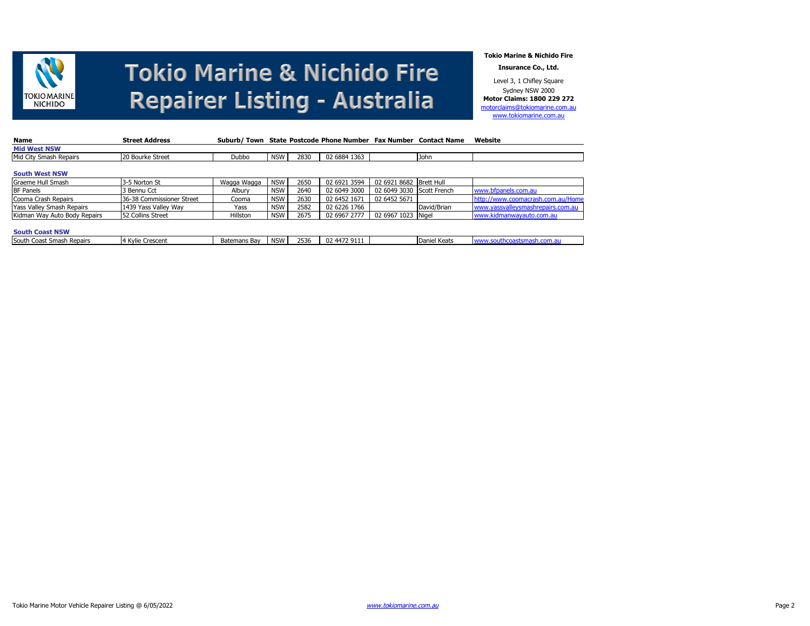

**Tokio Marine & Nichido Fire**

**Insurance Co., Ltd.**

Level 3, 1 Chifley Square Sydney NSW 2000 **Motor Claims: 1800 229 272** [motorclaims@tokiomarine.com.au](mailto:motorclaims@tokiomarine.com.au) [www.tokiomarine.com.au](http://www.tokiomarine.com.au/)

| Name                             | <b>Street Address</b>     |              |            |      | Suburb/Town State Postcode Phone Number Fax Number Contact Name |                           |              | Website                           |
|----------------------------------|---------------------------|--------------|------------|------|-----------------------------------------------------------------|---------------------------|--------------|-----------------------------------|
| <b>Mid West NSW</b>              |                           |              |            |      |                                                                 |                           |              |                                   |
| Mid City Smash Repairs           | 20 Bourke Street          | Dubbo        | <b>NSW</b> | 2830 | 02 6884 1363                                                    |                           | John         |                                   |
| <b>South West NSW</b>            |                           |              |            |      |                                                                 |                           |              |                                   |
| Graeme Hull Smash                | 3-5 Norton St             | Wagga Wagga  | <b>NSW</b> | 2650 | 02 6921 3594                                                    | 02 6921 8682 Brett Hull   |              |                                   |
| <b>BF Panels</b>                 | 3 Bennu Cct               | Albury       | <b>NSW</b> | 2640 | 02 6049 3000                                                    | 02 6049 3030 Scott French |              | www.bfpanels.com.au               |
| Cooma Crash Repairs              | 36-38 Commissioner Street | Cooma        | <b>NSW</b> | 2630 | 02 6452 1671                                                    | 02 6452 5671              |              | http://www.coomacrash.com.au/Home |
| <b>Yass Valley Smash Repairs</b> | 1439 Yass Valley Way      | Yass         | <b>NSW</b> | 2582 | 02 6226 1766                                                    |                           | David/Brian  | www.yassvalleysmashrepairs.com.au |
| Kidman Way Auto Body Repairs     | 52 Collins Street         | Hillston     | <b>NSW</b> | 2675 | 02 6967 2777                                                    | 02 6967 1023 Nigel        |              | www.kidmanwayauto.com.au          |
|                                  |                           |              |            |      |                                                                 |                           |              |                                   |
| <b>South Coast NSW</b>           |                           |              |            |      |                                                                 |                           |              |                                   |
| South Coast Smash Repairs        | 4 Kvlie Crescent          | Batemans Bay | <b>NSW</b> | 2536 | 02 4472 9111                                                    |                           | Daniel Keats | www.southcoastsmash.com.au        |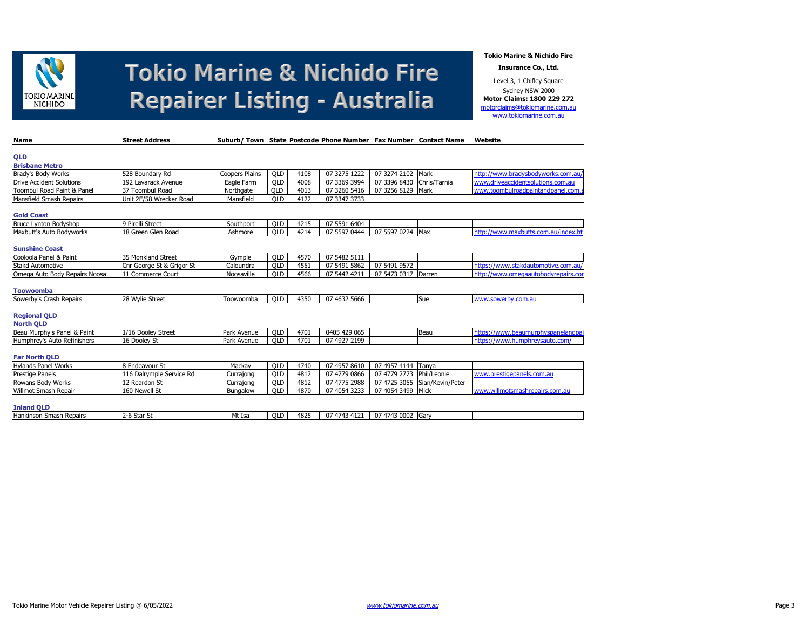

**Tokio Marine & Nichido Fire**

**Insurance Co., Ltd.**

Level 3, 1 Chifley Square Sydney NSW 2000 **Motor Claims: 1800 229 272** [motorclaims@tokiomarine.com.au](mailto:motorclaims@tokiomarine.com.au) [www.tokiomarine.com.au](http://www.tokiomarine.com.au/)

| Name                                    | <b>Street Address</b>     |                       |            |      | Suburb/Town State Postcode Phone Number Fax Number Contact Name |                           |                               | Website                              |
|-----------------------------------------|---------------------------|-----------------------|------------|------|-----------------------------------------------------------------|---------------------------|-------------------------------|--------------------------------------|
| QLD                                     |                           |                       |            |      |                                                                 |                           |                               |                                      |
| <b>Brisbane Metro</b>                   |                           |                       |            |      |                                                                 |                           |                               |                                      |
| Brady's Body Works                      | 528 Boundary Rd           | <b>Coopers Plains</b> | <b>QLD</b> | 4108 | 07 3275 1222                                                    | 07 3274 2102 Mark         |                               | http://www.bradysbodyworks.com.au/   |
| <b>Drive Accident Solutions</b>         | 192 Lavarack Avenue       | Eagle Farm            | <b>OLD</b> | 4008 | 07 3369 3994                                                    | 07 3396 8430 Chris/Tarnia |                               | www.driveaccidentsolutions.com.au    |
| <b>Toombul Road Paint &amp; Panel</b>   | 37 Toombul Road           | Northgate             | <b>QLD</b> | 4013 | 07 3260 5416                                                    | 07 3256 8129 Mark         |                               | www.toombulroadpaintandpanel.com.    |
| Mansfield Smash Repairs                 | Unit 2E/58 Wrecker Road   | Mansfield             | <b>QLD</b> | 4122 | 07 3347 3733                                                    |                           |                               |                                      |
| <b>Gold Coast</b>                       |                           |                       |            |      |                                                                 |                           |                               |                                      |
| <b>Bruce Lynton Bodyshop</b>            | 9 Pirelli Street          | Southport             | <b>OLD</b> | 4215 | 07 5591 6404                                                    |                           |                               |                                      |
| Maxbutt's Auto Bodyworks                | 18 Green Glen Road        | Ashmore               | OLD        | 4214 | 07 5597 0444                                                    | 07 5597 0224 Max          |                               | http://www.maxbutts.com.au/index.hti |
|                                         |                           |                       |            |      |                                                                 |                           |                               |                                      |
| <b>Sunshine Coast</b>                   |                           |                       |            |      |                                                                 |                           |                               |                                      |
| Cooloola Panel & Paint                  | 35 Monkland Street        | Gympie                | OLD        | 4570 | 07 5482 5111                                                    |                           |                               |                                      |
| <b>Stakd Automotive</b>                 | Cnr George St & Grigor St | Caloundra             | <b>QLD</b> | 4551 | 07 5491 5862                                                    | 07 5491 9572              |                               | https://www.stakdautomotive.com.au/  |
| Omega Auto Body Repairs Noosa           | 11 Commerce Court         | Noosaville            | <b>QLD</b> | 4566 | 07 5442 4211                                                    | 07 5473 0317 Darren       |                               | http://www.omegaautobodyrepairs.con  |
|                                         |                           |                       |            |      |                                                                 |                           |                               |                                      |
| <b>Toowoomba</b>                        |                           |                       |            |      |                                                                 |                           |                               |                                      |
| Sowerby's Crash Repairs                 | 28 Wylie Street           | Toowoomba             | <b>QLD</b> | 4350 | 07 4632 5666                                                    |                           | Sue                           | www.sowerby.com.au                   |
| <b>Regional QLD</b><br><b>North QLD</b> |                           |                       |            |      |                                                                 |                           |                               |                                      |
| Beau Murphy's Panel & Paint             | 1/16 Dooley Street        | Park Avenue           | <b>QLD</b> | 4701 | 0405 429 065                                                    |                           | Beau                          | https://www.beaumurphyspanelandpai   |
| Humphrey's Auto Refinishers             | 16 Dooley St              | Park Avenue           | OLD        | 4701 | 07 4927 2199                                                    |                           |                               | https://www.humphrevsauto.com/       |
|                                         |                           |                       |            |      |                                                                 |                           |                               |                                      |
| <b>Far North QLD</b>                    |                           |                       |            |      |                                                                 |                           |                               |                                      |
| <b>Hylands Panel Works</b>              | 8 Endeavour St            | Mackav                | OLD        | 4740 | 07 4957 8610                                                    | 07 4957 4144 Tanya        |                               |                                      |
| Prestige Panels                         | 116 Dalrymple Service Rd  | Currajong             | <b>QLD</b> | 4812 | 07 4779 0866                                                    | 07 4779 2773 Phil/Leonie  |                               | www.prestigepanels.com.au            |
| Rowans Body Works                       | 12 Reardon St             | Currajong             | <b>QLD</b> | 4812 | 07 4775 2988                                                    |                           | 07 4725 3055 Sian/Kevin/Peter |                                      |
| Willmot Smash Repair                    | 160 Newell St             | Bungalow              | <b>QLD</b> | 4870 | 07 4054 3233                                                    | 07 4054 3499 Mick         |                               | www.willmotsmashrepairs.com.au       |
| <b>Inland QLD</b>                       |                           |                       |            |      |                                                                 |                           |                               |                                      |
| Hankinson Smash Repairs                 | 2-6 Star St               | Mt Isa                | <b>QLD</b> | 4825 | 07 4743 4121                                                    | 07 4743 0002 Garv         |                               |                                      |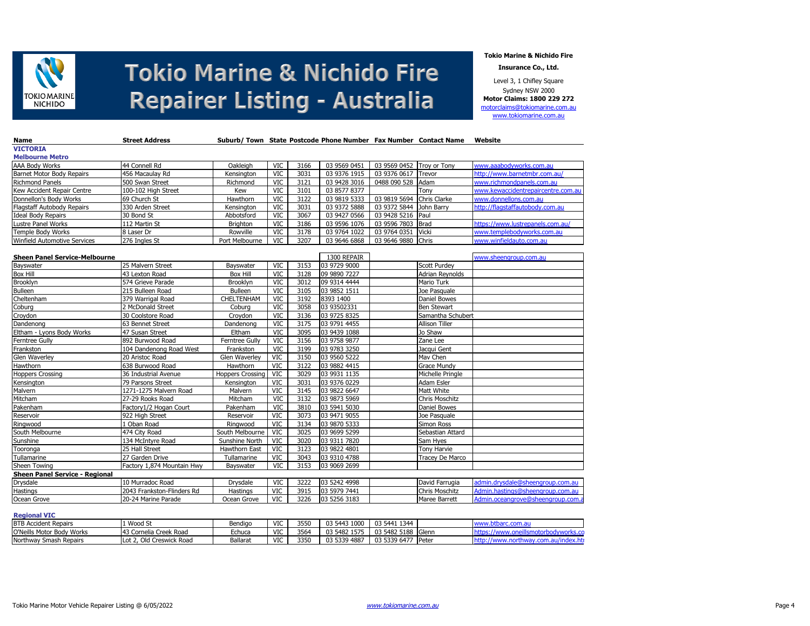

**Tokio Marine & Nichido Fire**

**Insurance Co., Ltd.**

Level 3, 1 Chifley Square Sydney NSW 2000 **Motor Claims: 1800 229 272** [motorclaims@tokiomarine.com.au](mailto:motorclaims@tokiomarine.com.au) [www.tokiomarine.com.au](http://www.tokiomarine.com.au/)

| Name                                  | <b>Street Address</b>      |                         |            |      |              |              | Suburb/ Town State Postcode Phone Number Fax Number Contact Name | Website                            |
|---------------------------------------|----------------------------|-------------------------|------------|------|--------------|--------------|------------------------------------------------------------------|------------------------------------|
| <b>VICTORIA</b>                       |                            |                         |            |      |              |              |                                                                  |                                    |
| <b>Melbourne Metro</b>                |                            |                         |            |      |              |              |                                                                  |                                    |
| AAA Body Works                        | 44 Connell Rd              | Oakleigh                | <b>VIC</b> | 3166 | 03 9569 0451 | 03 9569 0452 | Troy or Tony                                                     | www.aaabodyworks.com.au            |
| Barnet Motor Body Repairs             | 456 Macaulav Rd            | Kensington              | <b>VIC</b> | 3031 | 03 9376 1915 | 03 9376 0617 | Trevor                                                           | http://www.barnetmbr.com.au/       |
| <b>Richmond Panels</b>                | 500 Swan Street            | Richmond                | <b>VIC</b> | 3121 | 03 9428 3016 | 0488 090 528 | Adam                                                             | www.richmondpanels.com.au          |
| Kew Accident Repair Centre            | 100-102 High Street        | Kew                     | <b>VIC</b> | 3101 | 03 8577 8377 |              | Tony                                                             | www.kewaccidentrepaircentre.com.au |
| Donnellon's Body Works                | 69 Church St               | Hawthorn                | VIC        | 3122 | 03 9819 5333 | 03 9819 5694 | Chris Clarke                                                     | www.donnellons.com.au              |
| Flagstaff Autobody Repairs            | 330 Arden Street           | Kensington              | VIC        | 3031 | 03 9372 5888 | 03 9372 5844 | John Barry                                                       | http://flagstaffautobody.com.au    |
| <b>Ideal Body Repairs</b>             | 30 Bond St                 | Abbotsford              | VIC        | 3067 | 03 9427 0566 | 03 9428 5216 | Paul                                                             |                                    |
| Lustre Panel Works                    | 112 Martin St              | Brighton                | <b>VIC</b> | 3186 | 03 9596 1076 | 03 9596 7803 | <b>Brad</b>                                                      | https://www.lustrepanels.com.au/   |
| Temple Body Works                     | 8 Laser Dr                 | Rowville                | <b>VIC</b> | 3178 | 03 9764 1022 | 03 9764 0351 | Vicki                                                            | www.templebodyworks.com.au         |
| <b>Winfield Automotive Services</b>   | 276 Ingles St              | Port Melbourne          | VIC        | 3207 | 03 9646 6868 | 03 9646 9880 | Chris                                                            | www.winfieldauto.com.au            |
|                                       |                            |                         |            |      |              |              |                                                                  |                                    |
| <b>Sheen Panel Service-Melbourne</b>  |                            |                         |            |      | 1300 REPAIR  |              |                                                                  | www.sheengroup.com.au              |
| Bayswater                             | 25 Malvern Street          | Bayswater               | <b>VIC</b> | 3153 | 03 9729 9000 |              | <b>Scott Purdey</b>                                              |                                    |
| <b>Box Hill</b>                       | 43 Lexton Road             | Box Hill                | VIC        | 3128 | 09 9890 7227 |              | Adrian Reynolds                                                  |                                    |
| Brooklyn                              | 574 Grieve Parade          | Brooklyn                | <b>VIC</b> | 3012 | 09 9314 4444 |              | Mario Turk                                                       |                                    |
| <b>Bulleen</b>                        | 215 Bulleen Road           | <b>Bulleen</b>          | <b>VIC</b> | 3105 | 03 9852 1511 |              | Joe Pasquale                                                     |                                    |
| Cheltenham                            | 379 Warrigal Road          | CHELTENHAM              | <b>VIC</b> | 3192 | 8393 1400    |              | Daniel Bowes                                                     |                                    |
| Coburg                                | 2 McDonald Street          | Coburg                  | VIC        | 3058 | 03 93502331  |              | <b>Ben Stewart</b>                                               |                                    |
| Croydon                               | 30 Coolstore Road          | Croydon                 | VIC        | 3136 | 03 9725 8325 |              | Samantha Schubert                                                |                                    |
| Dandenong                             | 63 Bennet Street           | Dandenong               | <b>VIC</b> | 3175 | 03 9791 4455 |              | Allison Tiller                                                   |                                    |
| Eltham - Lyons Body Works             | 47 Susan Street            | Eltham                  | VIC        | 3095 | 03 9439 1088 |              | Jo Shaw                                                          |                                    |
| Ferntree Gully                        | 892 Burwood Road           | Ferntree Gully          | <b>VIC</b> | 3156 | 03 9758 9877 |              | Zane Lee                                                         |                                    |
| Frankston                             | 104 Dandenong Road West    | Frankston               | VIC        | 3199 | 03 9783 3250 |              | Jacqui Gent                                                      |                                    |
| Glen Waverley                         | 20 Aristoc Road            | Glen Waverley           | <b>VIC</b> | 3150 | 03 9560 5222 |              | Mav Chen                                                         |                                    |
| Hawthorn                              | 638 Burwood Road           | Hawthorn                | <b>VIC</b> | 3122 | 03 9882 4415 |              | <b>Grace Mundy</b>                                               |                                    |
| <b>Hoppers Crossing</b>               | 36 Industrial Avenue       | <b>Hoppers Crossing</b> | <b>VIC</b> | 3029 | 03 9931 1135 |              | Michelle Pringle                                                 |                                    |
| Kensington                            | 79 Parsons Street          | Kensington              | <b>VIC</b> | 3031 | 03 9376 0229 |              | <b>Adam Esler</b>                                                |                                    |
| Malvern                               | 1271-1275 Malvern Road     | Malvern                 | <b>VIC</b> | 3145 | 03 9822 6647 |              | Matt White                                                       |                                    |
| Mitcham                               | 27-29 Rooks Road           | Mitcham                 | VIC        | 3132 | 03 9873 5969 |              | Chris Moschitz                                                   |                                    |
| Pakenham                              | Factory1/2 Hogan Court     | Pakenham                | <b>VIC</b> | 3810 | 03 5941 5030 |              | Daniel Bowes                                                     |                                    |
| Reservoir                             | 922 High Street            | Reservoir               | <b>VIC</b> | 3073 | 03 9471 9055 |              | Joe Pasquale                                                     |                                    |
| Ringwood                              | Oban Road                  | Ringwood                | <b>VIC</b> | 3134 | 03 9870 5333 |              | Simon Ross                                                       |                                    |
| South Melbourne                       | 474 City Road              | South Melbourne         | <b>VIC</b> | 3025 | 03 9699 5299 |              | Sebastian Attard                                                 |                                    |
| Sunshine                              | 134 McIntyre Road          | Sunshine North          | <b>VIC</b> | 3020 | 03 9311 7820 |              | Sam Hyes                                                         |                                    |
| Tooronga                              | 25 Hall Street             | Hawthorn East           | <b>VIC</b> | 3123 | 03 9822 4801 |              | Tony Harvie                                                      |                                    |
| Tullamarine                           | 27 Garden Drive            | Tullamarine             | <b>VIC</b> | 3043 | 03 9310 4788 |              | Tracey De Marco                                                  |                                    |
| Sheen Towing                          | Factory 1,874 Mountain Hwy | Bayswater               | <b>VIC</b> | 3153 | 03 9069 2699 |              |                                                                  |                                    |
| <b>Sheen Panel Service - Regional</b> |                            |                         |            |      |              |              |                                                                  |                                    |
| Drysdale                              | 10 Murradoc Road           | Drysdale                | <b>VIC</b> | 3222 | 03 5242 4998 |              | David Farrugia                                                   | admin.drysdale@sheengroup.com.au   |
| Hastings                              | 2043 Frankston-Flinders Rd | Hastings                | <b>VIC</b> | 3915 | 03 5979 7441 |              | Chris Moschitz                                                   | Admin.hastings@sheengroup.com.au   |
| Ocean Grove                           | 20-24 Marine Parade        | Ocean Grove             | <b>VIC</b> | 3226 | 03 5256 3183 |              | Maree Barrett                                                    | Admin.oceangrove@sheengroup.com.a  |

### **Regional VIC**

| <b>BTB Accident Repairs</b> | 1 Wood St                | Bendigo  | 1/10<br>ື   | 3550 | 03 5443 1000 | 03 5441 1344       |  |
|-----------------------------|--------------------------|----------|-------------|------|--------------|--------------------|--|
| O'Neills Motor Body Works   | 143 Cornelia Creek Road  | Echuca   | 1/17<br>ື   | 3564 | 03 5482 1575 | 03 5482 5188 Glenn |  |
| Northway Smash Repairs      | Lot 2, Old Creswick Road | Ballaray | 1/17<br>ے ی | 3350 | 03 5339 4887 | 03 5339 6477 Peter |  |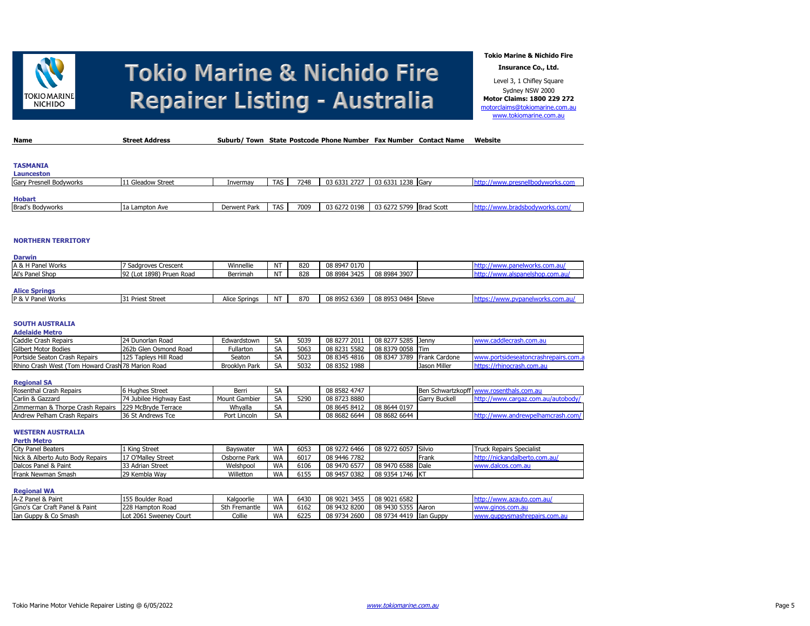

**Tokio Marine & Nichido Fire**

**Insurance Co., Ltd.**

Level 3, 1 Chifley Square Sydney NSW 2000 **Motor Claims: 1800 229 272** [motorclaims@tokiomarine.com.au](mailto:motorclaims@tokiomarine.com.au) [www.tokiomarine.com.au](http://www.tokiomarine.com.au/)

| <b>Name</b>             | <b>Street Address</b> | Suburb/Town State Postcode Phone Number Fax Number Contact Name |            |      |              |                         | Website                          |
|-------------------------|-----------------------|-----------------------------------------------------------------|------------|------|--------------|-------------------------|----------------------------------|
|                         |                       |                                                                 |            |      |              |                         |                                  |
|                         |                       |                                                                 |            |      |              |                         |                                  |
| <b>TASMANIA</b>         |                       |                                                                 |            |      |              |                         |                                  |
| <b>Launceston</b>       |                       |                                                                 |            |      |              |                         |                                  |
| Gary Presnell Bodyworks | 11 Gleadow Street     | Invermay                                                        | <b>TAS</b> | 7248 | 03 6331 2727 | 03 6331 1238 Garv       | http://www.presnellbodyworks.com |
|                         |                       |                                                                 |            |      |              |                         |                                  |
| <b>Hobart</b>           |                       |                                                                 |            |      |              |                         |                                  |
| <b>Brad's Bodyworks</b> | l 1a Lampton Ave      | Derwent Park                                                    | TAS        | 7009 | 03 6272 0198 | 03 6272 5799 Brad Scott | http://www.bradsbodyworks.com/   |

### **NORTHERN TERRITORY**

| <b>Darwin</b>        |                          |                      |                |     |              |                    |                                  |
|----------------------|--------------------------|----------------------|----------------|-----|--------------|--------------------|----------------------------------|
| A & H Panel Works    | 7 Sadgroves Crescent     | Winnellie            | N)             | 820 | 08 8947 0170 |                    | http://www.panelworks.com.au/    |
| Al's Panel Shop      | 92 (Lot 1898) Pruen Road | Berrimah             | N <sub>1</sub> | 828 | 08 8984 3425 | 08 8984 3907       | http://www.alspanelshop.com.au/  |
|                      |                          |                      |                |     |              |                    |                                  |
| <b>Alice Springs</b> |                          |                      |                |     |              |                    |                                  |
| P & V Panel Works    | 1 Priest Street          | <b>Alice Springs</b> | N1             | 870 | 08 8952 6369 | 08 8953 0484 Steve | https://www.pypanelworks.com.au/ |

#### **SOUTH AUSTRALIA Adelaide Metro**

| AUCIGIUS MCU V                                    |                       |                      |           |      |              |              |                      |                                                          |
|---------------------------------------------------|-----------------------|----------------------|-----------|------|--------------|--------------|----------------------|----------------------------------------------------------|
| Caddle Crash Repairs                              | 24 Dunorlan Road      | Edwardstown          | <b>SA</b> | 5039 | 08 8277 2011 | 08 8277 5285 | Jenny                | r.caddlecrash.com.au<br><b>IAMA</b>                      |
| <b>Gilbert Motor Bodies</b>                       | 262b Glen Osmond Road | Fullarton            | <b>SA</b> | 5063 | 08 8231 5582 | 08 8379 0058 | <b>Tim</b>           |                                                          |
| Portside Seaton Crash Repairs                     | 125 Tapleys Hill Road | Seaton               | SA        | 5023 | 08 8345 4816 | 08 8347 3789 | <b>Frank Cardone</b> | : portsideseatoncrashrepairs.com.a<br><b><i>MARA</i></b> |
| Rhino Crash West (Tom Howard Crash 78 Marion Road |                       | <b>Brooklyn Park</b> | <b>SA</b> | 5032 | 08 8352 1988 |              | Jason Miller         | htt<br>iocrash.com.au                                    |

### **Regional SA**

| Rosenthal Crash Repairs                               | 6 Hughes Street         | Berri         | SН           |      | 08 8582 4747 |              | Ben Schwartzkopff w |  |
|-------------------------------------------------------|-------------------------|---------------|--------------|------|--------------|--------------|---------------------|--|
| Carlin & Gazzard                                      | 74 Jubilee Highway East | Mount Gambier | SA           | 5290 | 08 8723 8880 |              | Garry Buckell       |  |
| Zimmerman & Thorpe Crash Repairs 1229 McBryde Terrace |                         | Whvalla       | $\sim$<br>ЪF |      | 08 8645 8412 | 08 8644 0197 |                     |  |
| Andrew Pelham Crash Repairs                           | 36 St Andrews Tce       | Port Lincoln  | SA           |      | 08 8682 6644 | 08 8682 6644 |                     |  |

## **WESTERN AUSTRALIA**

| <b>Perth Metro</b>               |                    |              |           |      |              |                     |       |                                 |
|----------------------------------|--------------------|--------------|-----------|------|--------------|---------------------|-------|---------------------------------|
| City Panel Beaters               | 1 Kina Street      | Bayswater    | <b>WA</b> | 6053 | 08 9272 6466 | 08 9272 6057 Silvio |       | <b>Truck Repairs Specialist</b> |
| Nick & Alberto Auto Body Repairs | 17 O'Mallev Street | Osborne Park | <b>WA</b> | 6017 | 08 9446 7782 |                     | Frank | http://nickandalberto.com.au/   |
| Dalcos Panel & Paint             | 33 Adrian Street   | Welshpool    | WA        | 6106 | 08 9470 6577 | 08 9470 6588 Dale   |       | www.dalcos.com.au               |
| Frank Newman Smash               | 29 Kembla Wav      | Willetton    | WA        | 6155 | 08 9457 0382 | 08 9354 1746 KT     |       |                                 |

### **Regional WA**

| A-Z Panel & Paint              | 155 Boulder Road       | Kalgoorlie    | <b>WA</b> | 6430 | 08 9021<br>3455 | 08 9021 6582       |           |                 |
|--------------------------------|------------------------|---------------|-----------|------|-----------------|--------------------|-----------|-----------------|
| Gino's Car Craft Panel & Paint | 228 Hampton Road       | Sth Fremantle | <b>WA</b> | 6162 | 08 9432 8200    | 08 9430 5355 Aaron |           | www.ginos.com.a |
| Ian Guppy & Co Smash           | Lot 2061 Sweeney Court | Collie        | <b>WA</b> | 6225 | 08 9734 2600    | 08 9734 4419       | Ian Guppy |                 |
|                                |                        |               |           |      |                 |                    |           |                 |